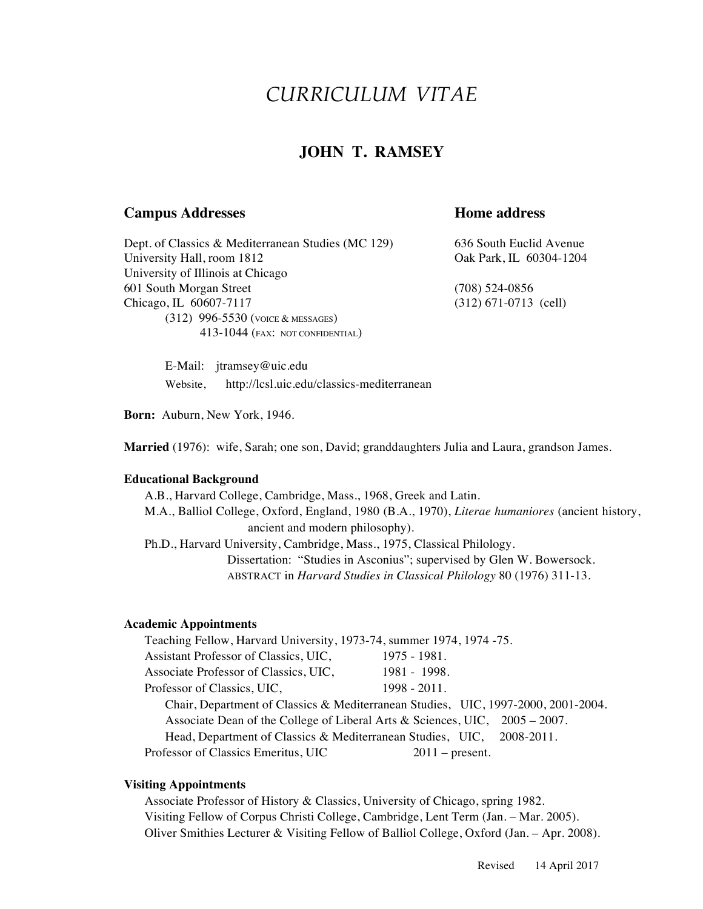# *CURRICULUM VITAE*

# **JOHN T. RAMSEY**

### **Campus Addresses Home address**

Dept. of Classics & Mediterranean Studies (MC 129) 636 South Euclid Avenue University Hall, room 1812 Cake Park, IL 60304-1204 University of Illinois at Chicago 601 South Morgan Street (708) 524-0856 Chicago, IL 60607-7117 (312) 671-0713 (cell) (312) 996-5530 (VOICE & MESSAGES) 413-1044 (FAX: NOT CONFIDENTIAL)

E-Mail: jtramsey@uic.edu Website, http://lcsl.uic.edu/classics-mediterranean

**Born:** Auburn, New York, 1946.

**Married** (1976): wife, Sarah; one son, David; granddaughters Julia and Laura, grandson James.

#### **Educational Background**

A.B., Harvard College, Cambridge, Mass., 1968, Greek and Latin. M.A., Balliol College, Oxford, England, 1980 (B.A., 1970), *Literae humaniores* (ancient history, ancient and modern philosophy). Ph.D., Harvard University, Cambridge, Mass., 1975, Classical Philology. Dissertation: "Studies in Asconius"; supervised by Glen W. Bowersock. ABSTRACT in *Harvard Studies in Classical Philology* 80 (1976) 311-13.

#### **Academic Appointments**

Teaching Fellow, Harvard University, 1973-74, summer 1974, 1974 -75. Assistant Professor of Classics, UIC, 1975 - 1981. Associate Professor of Classics, UIC, 1981 - 1998. Professor of Classics, UIC, 1998 - 2011. Chair, Department of Classics & Mediterranean Studies, UIC, 1997-2000, 2001-2004. Associate Dean of the College of Liberal Arts & Sciences, UIC, 2005 – 2007. Head, Department of Classics & Mediterranean Studies, UIC, 2008-2011. Professor of Classics Emeritus, UIC 2011 – present.

#### **Visiting Appointments**

Associate Professor of History & Classics, University of Chicago, spring 1982. Visiting Fellow of Corpus Christi College, Cambridge, Lent Term (Jan. – Mar. 2005). Oliver Smithies Lecturer & Visiting Fellow of Balliol College, Oxford (Jan. – Apr. 2008).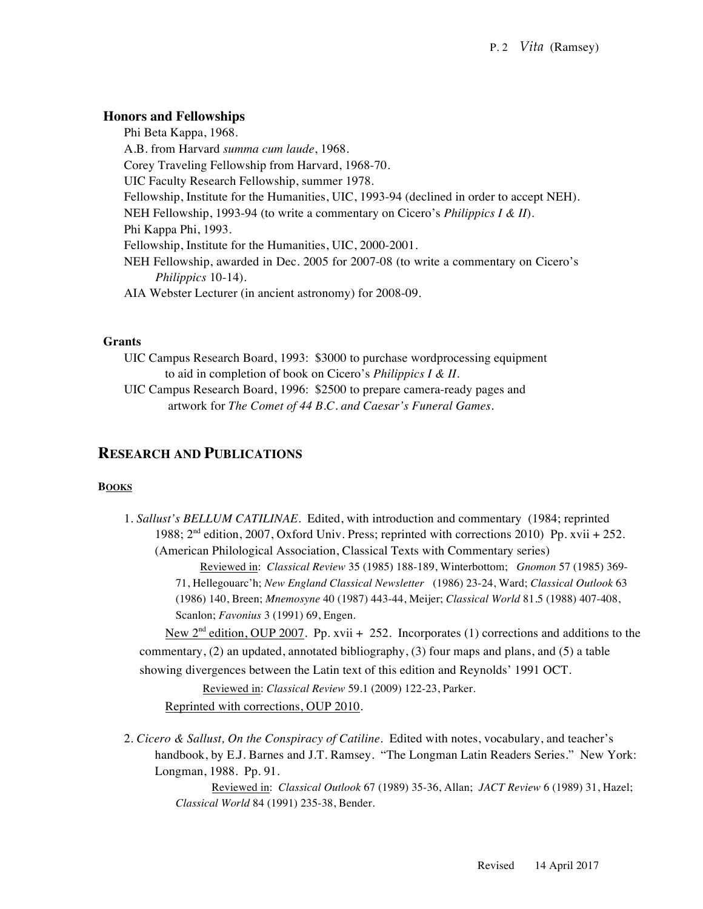# **Honors and Fellowships**

Phi Beta Kappa, 1968. A.B. from Harvard *summa cum laude*, 1968*.* Corey Traveling Fellowship from Harvard, 1968-70. UIC Faculty Research Fellowship, summer 1978. Fellowship, Institute for the Humanities, UIC, 1993-94 (declined in order to accept NEH). NEH Fellowship, 1993-94 (to write a commentary on Cicero's *Philippics I & II*). Phi Kappa Phi, 1993. Fellowship, Institute for the Humanities, UIC, 2000-2001. NEH Fellowship, awarded in Dec. 2005 for 2007-08 (to write a commentary on Cicero's *Philippics* 10-14). AIA Webster Lecturer (in ancient astronomy) for 2008-09.

#### **Grants**

UIC Campus Research Board, 1993: \$3000 to purchase wordprocessing equipment to aid in completion of book on Cicero's *Philippics I & II*.

UIC Campus Research Board, 1996: \$2500 to prepare camera-ready pages and artwork for *The Comet of 44 B.C. and Caesar's Funeral Games*.

# **RESEARCH AND PUBLICATIONS**

#### **BOOKS**

1. *Sallust's BELLUM CATILINAE*. Edited, with introduction and commentary (1984; reprinted 1988;  $2<sup>nd</sup>$  edition, 2007, Oxford Univ. Press; reprinted with corrections 2010) Pp. xvii + 252. (American Philological Association, Classical Texts with Commentary series) Reviewed in: *Classical Review* 35 (1985) 188-189, Winterbottom; *Gnomon* 57 (1985) 369- 71, Hellegouarc'h; *New England Classical Newsletter* (1986) 23-24, Ward; *Classical Outlook* 63 (1986) 140, Breen; *Mnemosyne* 40 (1987) 443-44, Meijer; *Classical World* 81.5 (1988) 407-408, Scanlon; *Favonius* 3 (1991) 69, Engen.

New  $2<sup>nd</sup>$  edition, OUP 2007. Pp. xvii + 252. Incorporates (1) corrections and additions to the commentary, (2) an updated, annotated bibliography, (3) four maps and plans, and (5) a table showing divergences between the Latin text of this edition and Reynolds' 1991 OCT.

Reviewed in: *Classical Review* 59.1 (2009) 122-23, Parker.

Reprinted with corrections, OUP 2010.

2. *Cicero & Sallust, On the Conspiracy of Catiline*. Edited with notes, vocabulary, and teacher's handbook, by E.J. Barnes and J.T. Ramsey. "The Longman Latin Readers Series." New York: Longman, 1988. Pp. 91.

 Reviewed in: *Classical Outlook* 67 (1989) 35-36, Allan; *JACT Review* 6 (1989) 31, Hazel; *Classical World* 84 (1991) 235-38, Bender.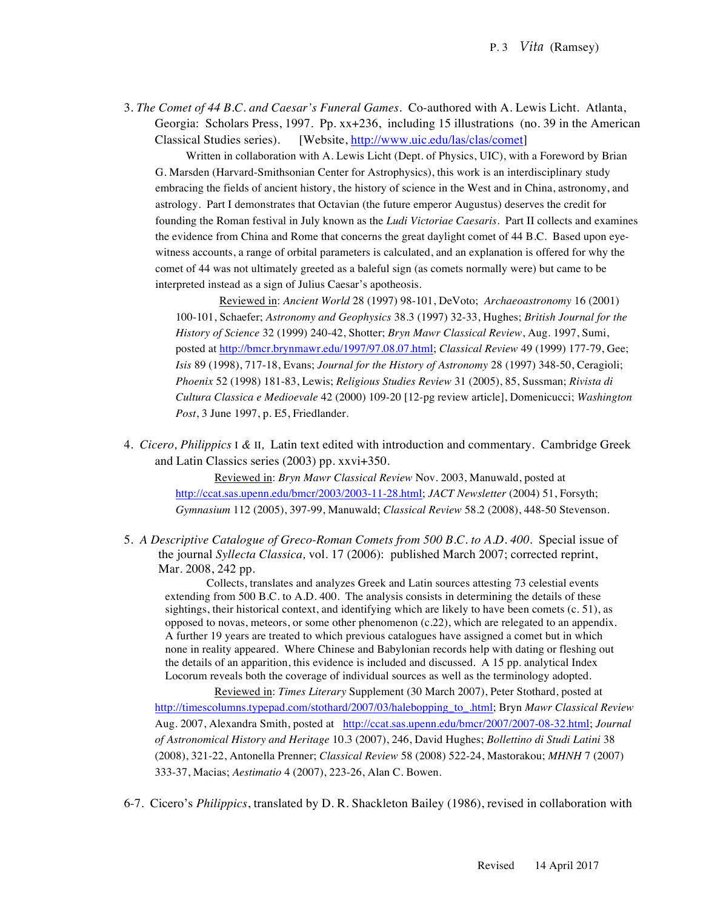3. *The Comet of 44 B.C. and Caesar's Funeral Games*. Co-authored with A. Lewis Licht. Atlanta, Georgia: Scholars Press, 1997. Pp. xx+236, including 15 illustrations (no. 39 in the American Classical Studies series). [Website, http://www.uic.edu/las/clas/comet]

Written in collaboration with A. Lewis Licht (Dept. of Physics, UIC), with a Foreword by Brian G. Marsden (Harvard-Smithsonian Center for Astrophysics), this work is an interdisciplinary study embracing the fields of ancient history, the history of science in the West and in China, astronomy, and astrology. Part I demonstrates that Octavian (the future emperor Augustus) deserves the credit for founding the Roman festival in July known as the *Ludi Victoriae Caesaris*. Part II collects and examines the evidence from China and Rome that concerns the great daylight comet of 44 B.C. Based upon eyewitness accounts, a range of orbital parameters is calculated, and an explanation is offered for why the comet of 44 was not ultimately greeted as a baleful sign (as comets normally were) but came to be interpreted instead as a sign of Julius Caesar's apotheosis.

 Reviewed in: *Ancient World* 28 (1997) 98-101, DeVoto; *Archaeoastronomy* 16 (2001) 100-101, Schaefer; *Astronomy and Geophysics* 38.3 (1997) 32-33, Hughes; *British Journal for the History of Science* 32 (1999) 240-42, Shotter; *Bryn Mawr Classical Review*, Aug. 1997, Sumi, posted at http://bmcr.brynmawr.edu/1997/97.08.07.html; *Classical Review* 49 (1999) 177-79, Gee; *Isis* 89 (1998), 717-18, Evans; *Journal for the History of Astronomy* 28 (1997) 348-50, Ceragioli; *Phoenix* 52 (1998) 181-83, Lewis; *Religious Studies Review* 31 (2005), 85, Sussman; *Rivista di Cultura Classica e Medioevale* 42 (2000) 109-20 [12-pg review article], Domenicucci; *Washington Post*, 3 June 1997, p. E5, Friedlander.

4. *Cicero, Philippics* I *&* II*,* Latin text edited with introduction and commentary. Cambridge Greek and Latin Classics series (2003) pp. xxvi+350.

> Reviewed in: *Bryn Mawr Classical Review* Nov. 2003, Manuwald, posted at http://ccat.sas.upenn.edu/bmcr/2003/2003-11-28.html; *JACT Newsletter* (2004) 51, Forsyth; *Gymnasium* 112 (2005), 397-99, Manuwald; *Classical Review* 58.2 (2008), 448-50 Stevenson.

5. A Descriptive Catalogue of Greco-Roman Comets from 500 B.C. to A.D. 400. Special issue of the journal *Syllecta Classica,* vol. 17 (2006): published March 2007; corrected reprint, Mar. 2008, 242 pp.

Collects, translates and analyzes Greek and Latin sources attesting 73 celestial events extending from 500 B.C. to A.D. 400. The analysis consists in determining the details of these sightings, their historical context, and identifying which are likely to have been comets (c. 51), as opposed to novas, meteors, or some other phenomenon (c.22), which are relegated to an appendix. A further 19 years are treated to which previous catalogues have assigned a comet but in which none in reality appeared. Where Chinese and Babylonian records help with dating or fleshing out the details of an apparition, this evidence is included and discussed. A 15 pp. analytical Index Locorum reveals both the coverage of individual sources as well as the terminology adopted.

 Reviewed in: *Times Literary* Supplement (30 March 2007), Peter Stothard, posted at http://timescolumns.typepad.com/stothard/2007/03/halebopping\_to\_.html; Bryn *Mawr Classical Review* Aug. 2007, Alexandra Smith, posted at http://ccat.sas.upenn.edu/bmcr/2007/2007-08-32.html; *Journal of Astronomical History and Heritage* 10.3 (2007), 246, David Hughes; *Bollettino di Studi Latini* 38 (2008), 321-22, Antonella Prenner; *Classical Review* 58 (2008) 522-24, Mastorakou; *MHNH* 7 (2007) 333-37, Macias; *Aestimatio* 4 (2007), 223-26, Alan C. Bowen.

6-7. Cicero's *Philippics*, translated by D. R. Shackleton Bailey (1986), revised in collaboration with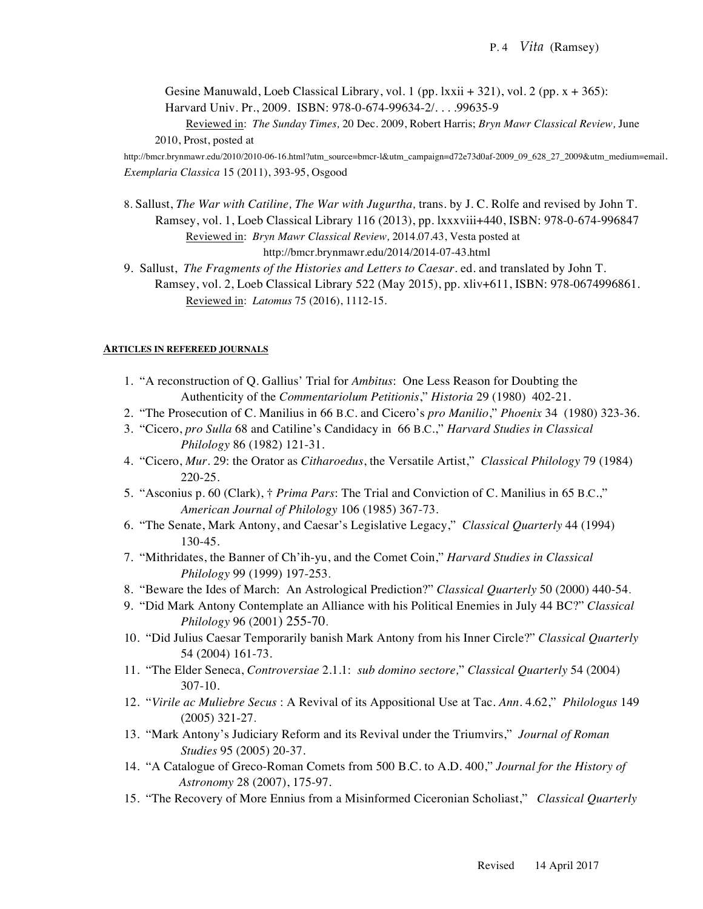Gesine Manuwald, Loeb Classical Library, vol. 1 (pp. lxxii  $+321$ ), vol. 2 (pp. x  $+365$ ): Harvard Univ. Pr., 2009. ISBN: 978-0-674-99634-2/. . . .99635-9

Reviewed in: *The Sunday Times,* 20 Dec. 2009, Robert Harris; *Bryn Mawr Classical Review,* June 2010, Prost, posted at

http://bmcr.brynmawr.edu/2010/2010-06-16.html?utm\_source=bmcr-l&utm\_campaign=d72e73d0af-2009\_09\_628\_27\_2009&utm\_medium=email. *Exemplaria Classica* 15 (2011), 393-95, Osgood

8. Sallust, *The War with Catiline, The War with Jugurtha,* trans. by J. C. Rolfe and revised by John T. Ramsey, vol. 1, Loeb Classical Library 116 (2013), pp. lxxxviii+440, ISBN: 978-0-674-996847 Reviewed in: *Bryn Mawr Classical Review,* 2014.07.43, Vesta posted at http://bmcr.brynmawr.edu/2014/2014-07-43.html

9. Sallust, *The Fragments of the Histories and Letters to Caesar.* ed. and translated by John T. Ramsey, vol. 2, Loeb Classical Library 522 (May 2015), pp. xliv+611, ISBN: 978-0674996861. Reviewed in: *Latomus* 75 (2016), 1112-15.

#### **ARTICLES IN REFEREED JOURNALS**

- 1. "A reconstruction of Q. Gallius' Trial for *Ambitus*: One Less Reason for Doubting the Authenticity of the *Commentariolum Petitionis*," *Historia* 29 (1980) 402-21.
- 2. "The Prosecution of C. Manilius in 66 B.C. and Cicero's *pro Manilio*," *Phoenix* 34 (1980) 323-36.
- 3. "Cicero, *pro Sulla* 68 and Catiline's Candidacy in 66 B.C.," *Harvard Studies in Classical Philology* 86 (1982) 121-31.
- 4. "Cicero, *Mur*. 29: the Orator as *Citharoedus*, the Versatile Artist," *Classical Philology* 79 (1984) 220-25.
- 5. "Asconius p. 60 (Clark), † *Prima Pars*: The Trial and Conviction of C. Manilius in 65 B.C.," *American Journal of Philology* 106 (1985) 367-73.
- 6. "The Senate, Mark Antony, and Caesar's Legislative Legacy," *Classical Quarterly* 44 (1994) 130-45.
- 7. "Mithridates, the Banner of Ch'ih-yu, and the Comet Coin," *Harvard Studies in Classical Philology* 99 (1999) 197-253.
- 8. "Beware the Ides of March: An Astrological Prediction?" *Classical Quarterly* 50 (2000) 440-54.
- 9. "Did Mark Antony Contemplate an Alliance with his Political Enemies in July 44 BC?" *Classical Philology* 96 (2001) 255-70.
- 10. "Did Julius Caesar Temporarily banish Mark Antony from his Inner Circle?" *Classical Quarterly* 54 (2004) 161-73.
- 11. "The Elder Seneca, *Controversiae* 2.1.1: *sub domino sectore,*" *Classical Quarterly* 54 (2004) 307-10.
- 12. "*Virile ac Muliebre Secus* : A Revival of its Appositional Use at Tac. *Ann*. 4.62," *Philologus* 149 (2005) 321-27.
- 13. "Mark Antony's Judiciary Reform and its Revival under the Triumvirs," *Journal of Roman Studies* 95 (2005) 20-37.
- 14. "A Catalogue of Greco-Roman Comets from 500 B.C. to A.D. 400," *Journal for the History of Astronomy* 28 (2007), 175-97.
- 15. "The Recovery of More Ennius from a Misinformed Ciceronian Scholiast," *Classical Quarterly*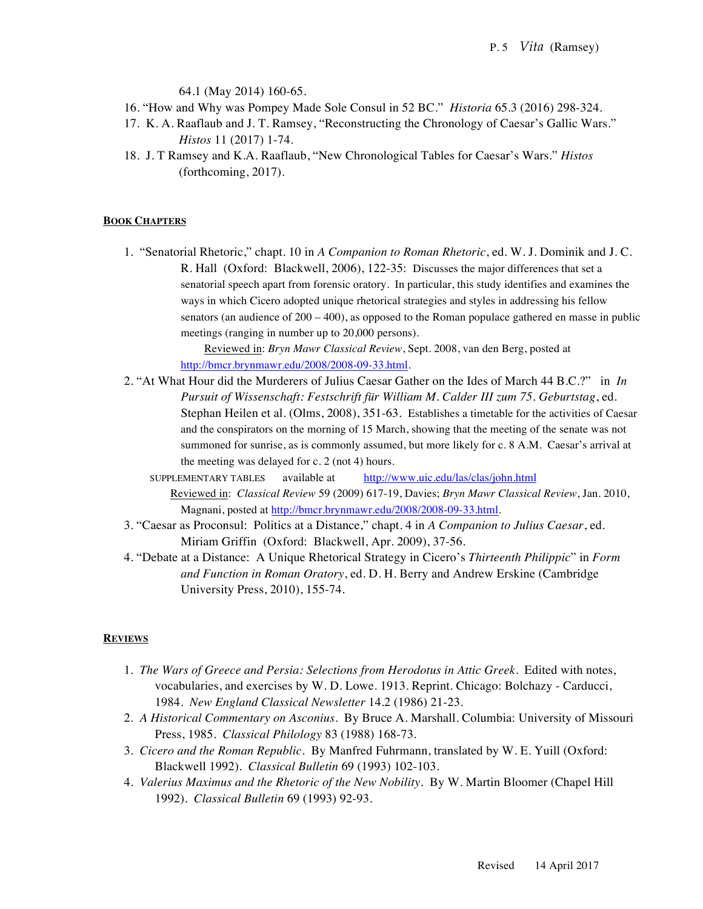64.1 (May 2014) 160-65.

- 16. "How and Why was Pompey Made Sole Consul in 52 BC." *Historia* 65.3 (2016) 298-324.
- 17. K. A. Raaflaub and J. T. Ramsey, "Reconstructing the Chronology of Caesar's Gallic Wars." *Histos* 11 (2017) 1-74.
- 18. J. T Ramsey and K.A. Raaflaub, "New Chronological Tables for Caesar's Wars." *Histos* (forthcoming, 2017).

#### **BOOK CHAPTERS**

1. "Senatorial Rhetoric," chapt. 10 in *A Companion to Roman Rhetoric*, ed. W. J. Dominik and J. C. R. Hall (Oxford: Blackwell, 2006), 122-35: Discusses the major differences that set a senatorial speech apart from forensic oratory. In particular, this study identifies and examines the ways in which Cicero adopted unique rhetorical strategies and styles in addressing his fellow senators (an audience of  $200 - 400$ ), as opposed to the Roman populace gathered en masse in public meetings (ranging in number up to 20,000 persons).

> Reviewed in: *Bryn Mawr Classical Review*, Sept. 2008, van den Berg, posted at http://bmcr.brynmawr.edu/2008/2008-09-33.html.

- 2. "At What Hour did the Murderers of Julius Caesar Gather on the Ides of March 44 B.C.?" in *In Pursuit of Wissenschaft: Festschrift für William M. Calder III zum 75. Geburtstag*, ed. Stephan Heilen et al. (Olms, 2008), 351-63. Establishes a timetable for the activities of Caesar and the conspirators on the morning of 15 March, showing that the meeting of the senate was not summoned for sunrise, as is commonly assumed, but more likely for c. 8 A.M. Caesar's arrival at the meeting was delayed for c. 2 (not 4) hours.
	- SUPPLEMENTARY TABLES available at http://www.uic.edu/las/clas/john.html Reviewed in: *Classical Review* 59 (2009) 617-19, Davies; *Bryn Mawr Classical Review*, Jan. 2010, Magnani, posted at http://bmcr.brynmawr.edu/2008/2008-09-33.html.
- 3. "Caesar as Proconsul: Politics at a Distance," chapt. 4 in *A Companion to Julius Caesar*, ed. Miriam Griffin (Oxford: Blackwell, Apr. 2009), 37-56.
- 4. "Debate at a Distance: A Unique Rhetorical Strategy in Cicero's *Thirteenth Philippic*" in *Form and Function in Roman Oratory*, ed. D. H. Berry and Andrew Erskine (Cambridge University Press, 2010), 155-74.

#### **REVIEWS**

- 1. *The Wars of Greece and Persia: Selections from Herodotus in Attic Greek*. Edited with notes, vocabularies, and exercises by W. D. Lowe. 1913. Reprint. Chicago: Bolchazy - Carducci, 1984. *New England Classical Newsletter* 14.2 (1986) 21-23.
- 2. *A Historical Commentary on Asconius*. By Bruce A. Marshall. Columbia: University of Missouri Press, 1985. *Classical Philology* 83 (1988) 168-73.
- 3. *Cicero and the Roman Republic*. By Manfred Fuhrmann, translated by W. E. Yuill (Oxford: Blackwell 1992). *Classical Bulletin* 69 (1993) 102-103.
- 4. *Valerius Maximus and the Rhetoric of the New Nobility*. By W. Martin Bloomer (Chapel Hill 1992). *Classical Bulletin* 69 (1993) 92-93.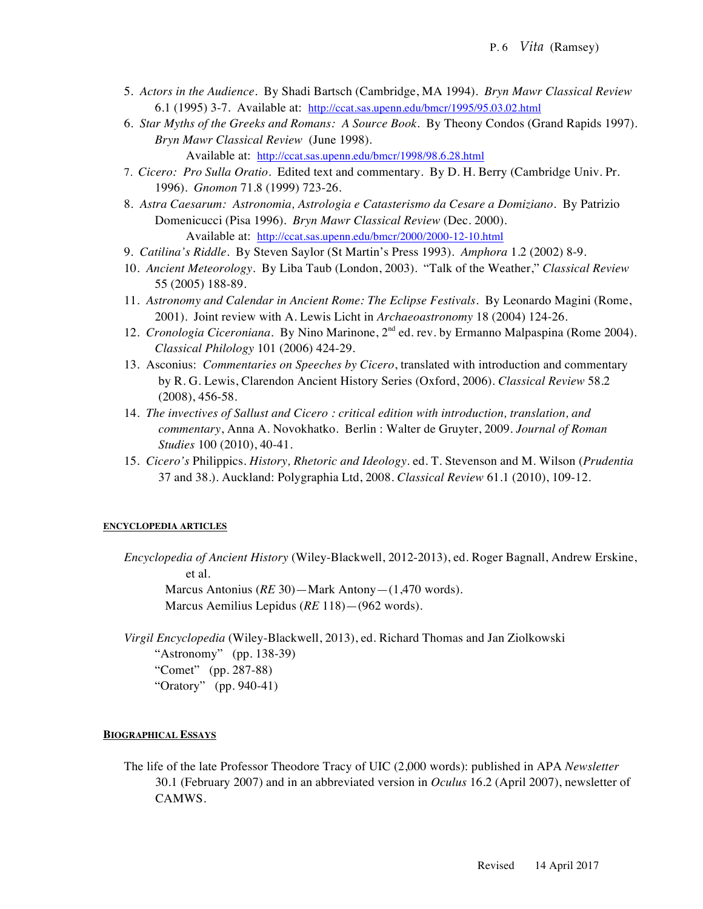- 5. *Actors in the Audience*. By Shadi Bartsch (Cambridge, MA 1994). *Bryn Mawr Classical Review* 6.1 (1995) 3-7. Available at: http://ccat.sas.upenn.edu/bmcr/1995/95.03.02.html
- 6. *Star Myths of the Greeks and Romans: A Source Book*. By Theony Condos (Grand Rapids 1997). *Bryn Mawr Classical Review* (June 1998).

Available at: http://ccat.sas.upenn.edu/bmcr/1998/98.6.28.html

- 7. *Cicero: Pro Sulla Oratio*. Edited text and commentary. By D. H. Berry (Cambridge Univ. Pr. 1996). *Gnomon* 71.8 (1999) 723-26.
- 8. *Astra Caesarum: Astronomia, Astrologia e Catasterismo da Cesare a Domiziano*. By Patrizio Domenicucci (Pisa 1996). *Bryn Mawr Classical Review* (Dec. 2000). Available at: http://ccat.sas.upenn.edu/bmcr/2000/2000-12-10.html
- 9. *Catilina's Riddle*. By Steven Saylor (St Martin's Press 1993). *Amphora* 1.2 (2002) 8-9.
- 10. *Ancient Meteorology.* By Liba Taub (London, 2003). "Talk of the Weather," *Classical Review* 55 (2005) 188-89.
- 11. *Astronomy and Calendar in Ancient Rome: The Eclipse Festivals.* By Leonardo Magini (Rome, 2001). Joint review with A. Lewis Licht in *Archaeoastronomy* 18 (2004) 124-26.
- 12. *Cronologia Ciceroniana.* By Nino Marinone, 2nd ed. rev. by Ermanno Malpaspina (Rome 2004). *Classical Philology* 101 (2006) 424-29.
- 13. Asconius: *Commentaries on Speeches by Cicero*, translated with introduction and commentary by R. G. Lewis, Clarendon Ancient History Series (Oxford, 2006). *Classical Review* 58.2 (2008), 456-58.
- 14. *The invectives of Sallust and Cicero : critical edition with introduction, translation, and commentary*, Anna A. Novokhatko. Berlin : Walter de Gruyter, 2009. *Journal of Roman Studies* 100 (2010), 40-41.
- 15. *Cicero's* Philippics*. History, Rhetoric and Ideology*. ed. T. Stevenson and M. Wilson (*Prudentia* 37 and 38.). Auckland: Polygraphia Ltd, 2008. *Classical Review* 61.1 (2010), 109-12.

#### **ENCYCLOPEDIA ARTICLES**

*Encyclopedia of Ancient History* (Wiley-Blackwell, 2012-2013), ed. Roger Bagnall, Andrew Erskine, et al.

Marcus Antonius (*RE* 30)—Mark Antony—(1,470 words). Marcus Aemilius Lepidus (*RE* 118)—(962 words).

*Virgil Encyclopedia* (Wiley-Blackwell, 2013), ed. Richard Thomas and Jan Ziolkowski "Astronomy" (pp. 138-39) "Comet" (pp. 287-88) "Oratory" (pp. 940-41)

#### **BIOGRAPHICAL ESSAYS**

The life of the late Professor Theodore Tracy of UIC (2,000 words): published in APA *Newsletter* 30.1 (February 2007) and in an abbreviated version in *Oculus* 16.2 (April 2007), newsletter of CAMWS.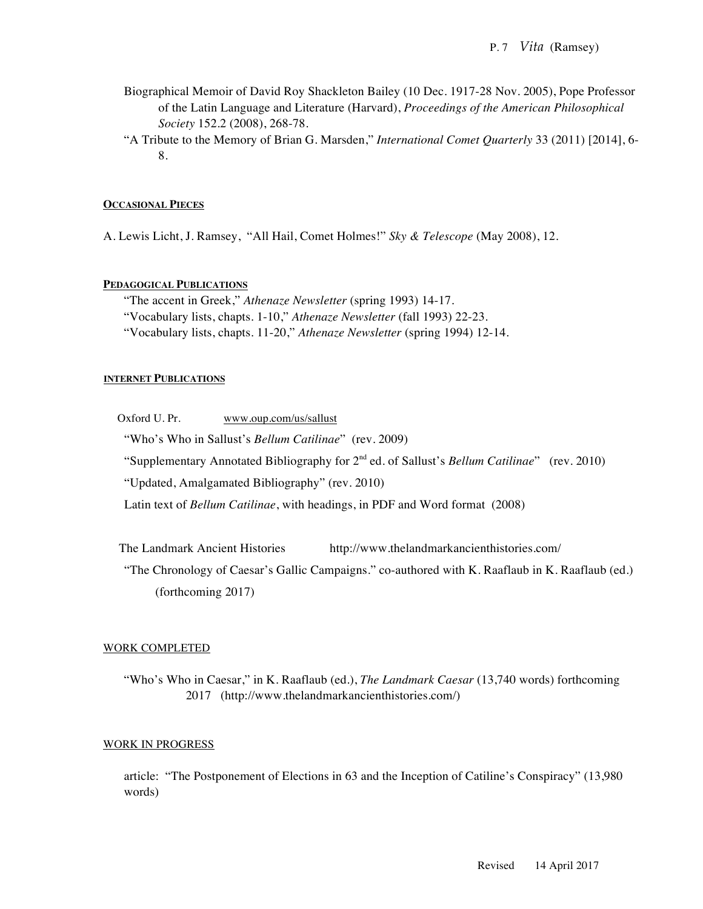- Biographical Memoir of David Roy Shackleton Bailey (10 Dec. 1917-28 Nov. 2005), Pope Professor of the Latin Language and Literature (Harvard), *Proceedings of the American Philosophical Society* 152.2 (2008), 268-78.
- "A Tribute to the Memory of Brian G. Marsden," *International Comet Quarterly* 33 (2011) [2014], 6- 8.

#### **OCCASIONAL PIECES**

A. Lewis Licht, J. Ramsey, "All Hail, Comet Holmes!" *Sky & Telescope* (May 2008), 12.

#### **PEDAGOGICAL PUBLICATIONS**

"The accent in Greek," *Athenaze Newsletter* (spring 1993) 14-17. "Vocabulary lists, chapts. 1-10," *Athenaze Newsletter* (fall 1993) 22-23. "Vocabulary lists, chapts. 11-20," *Athenaze Newsletter* (spring 1994) 12-14.

#### **INTERNET PUBLICATIONS**

Oxford U. Pr. www.oup.com/us/sallust

"Who's Who in Sallust's *Bellum Catilinae*" (rev. 2009)

"Supplementary Annotated Bibliography for 2nd ed. of Sallust's *Bellum Catilinae*" (rev. 2010)

"Updated, Amalgamated Bibliography" (rev. 2010)

Latin text of *Bellum Catilinae*, with headings, in PDF and Word format (2008)

The Landmark Ancient Histories http://www.thelandmarkancienthistories.com/

"The Chronology of Caesar's Gallic Campaigns." co-authored with K. Raaflaub in K. Raaflaub (ed.) (forthcoming 2017)

#### WORK COMPLETED

"Who's Who in Caesar," in K. Raaflaub (ed.), *The Landmark Caesar* (13,740 words) forthcoming 2017 (http://www.thelandmarkancienthistories.com/)

#### WORK IN PROGRESS

article: "The Postponement of Elections in 63 and the Inception of Catiline's Conspiracy" (13,980 words)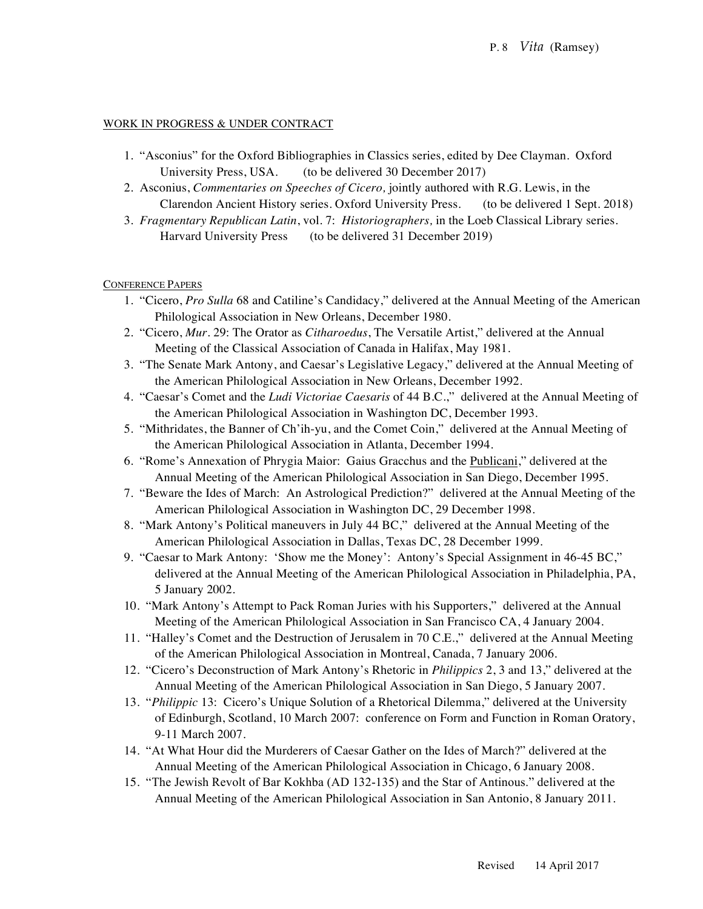# WORK IN PROGRESS & UNDER CONTRACT

- 1. "Asconius" for the Oxford Bibliographies in Classics series, edited by Dee Clayman. Oxford University Press, USA. (to be delivered 30 December 2017)
- 2. Asconius, *Commentaries on Speeches of Cicero,* jointly authored with R.G. Lewis, in the Clarendon Ancient History series. Oxford University Press. (to be delivered 1 Sept. 2018)
- 3. *Fragmentary Republican Latin*, vol. 7: *Historiographers,* in the Loeb Classical Library series. Harvard University Press (to be delivered 31 December 2019)

CONFERENCE PAPERS

- 1. "Cicero, *Pro Sulla* 68 and Catiline's Candidacy," delivered at the Annual Meeting of the American Philological Association in New Orleans, December 1980.
- 2. "Cicero, *Mur*. 29: The Orator as *Citharoedus*, The Versatile Artist," delivered at the Annual Meeting of the Classical Association of Canada in Halifax, May 1981.
- 3. "The Senate Mark Antony, and Caesar's Legislative Legacy," delivered at the Annual Meeting of the American Philological Association in New Orleans, December 1992.
- 4. "Caesar's Comet and the *Ludi Victoriae Caesaris* of 44 B.C.," delivered at the Annual Meeting of the American Philological Association in Washington DC, December 1993.
- 5. "Mithridates, the Banner of Ch'ih-yu, and the Comet Coin," delivered at the Annual Meeting of the American Philological Association in Atlanta, December 1994.
- 6. "Rome's Annexation of Phrygia Maior: Gaius Gracchus and the Publicani," delivered at the Annual Meeting of the American Philological Association in San Diego, December 1995.
- 7. "Beware the Ides of March: An Astrological Prediction?" delivered at the Annual Meeting of the American Philological Association in Washington DC, 29 December 1998.
- 8. "Mark Antony's Political maneuvers in July 44 BC," delivered at the Annual Meeting of the American Philological Association in Dallas, Texas DC, 28 December 1999.
- 9. "Caesar to Mark Antony: 'Show me the Money': Antony's Special Assignment in 46-45 BC," delivered at the Annual Meeting of the American Philological Association in Philadelphia, PA, 5 January 2002.
- 10. "Mark Antony's Attempt to Pack Roman Juries with his Supporters," delivered at the Annual Meeting of the American Philological Association in San Francisco CA, 4 January 2004.
- 11. "Halley's Comet and the Destruction of Jerusalem in 70 C.E.," delivered at the Annual Meeting of the American Philological Association in Montreal, Canada, 7 January 2006.
- 12. "Cicero's Deconstruction of Mark Antony's Rhetoric in *Philippics* 2, 3 and 13," delivered at the Annual Meeting of the American Philological Association in San Diego, 5 January 2007.
- 13. "*Philippic* 13: Cicero's Unique Solution of a Rhetorical Dilemma," delivered at the University of Edinburgh, Scotland, 10 March 2007: conference on Form and Function in Roman Oratory, 9-11 March 2007.
- 14. "At What Hour did the Murderers of Caesar Gather on the Ides of March?" delivered at the Annual Meeting of the American Philological Association in Chicago, 6 January 2008.
- 15. "The Jewish Revolt of Bar Kokhba (AD 132-135) and the Star of Antinous." delivered at the Annual Meeting of the American Philological Association in San Antonio, 8 January 2011.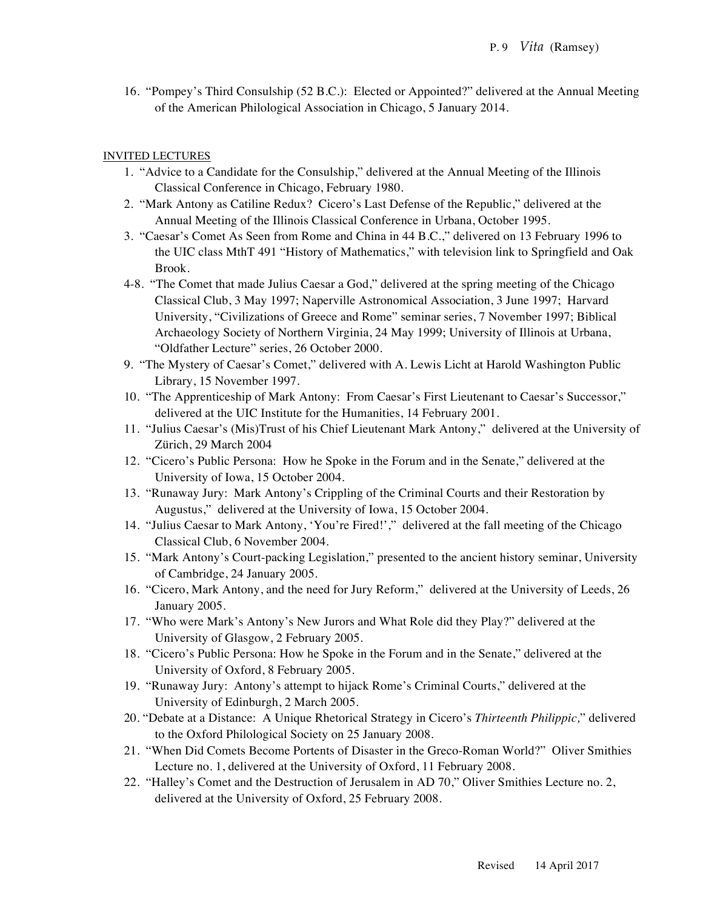16. "Pompey's Third Consulship (52 B.C.): Elected or Appointed?" delivered at the Annual Meeting of the American Philological Association in Chicago, 5 January 2014.

# INVITED LECTURES

- 1. "Advice to a Candidate for the Consulship," delivered at the Annual Meeting of the Illinois Classical Conference in Chicago, February 1980.
- 2. "Mark Antony as Catiline Redux? Cicero's Last Defense of the Republic," delivered at the Annual Meeting of the Illinois Classical Conference in Urbana, October 1995.
- 3. "Caesar's Comet As Seen from Rome and China in 44 B.C.," delivered on 13 February 1996 to the UIC class MthT 491 "History of Mathematics," with television link to Springfield and Oak Brook.
- 4-8. "The Comet that made Julius Caesar a God," delivered at the spring meeting of the Chicago Classical Club, 3 May 1997; Naperville Astronomical Association, 3 June 1997; Harvard University, "Civilizations of Greece and Rome" seminar series, 7 November 1997; Biblical Archaeology Society of Northern Virginia, 24 May 1999; University of Illinois at Urbana, "Oldfather Lecture" series, 26 October 2000.
- 9. "The Mystery of Caesar's Comet," delivered with A. Lewis Licht at Harold Washington Public Library, 15 November 1997.
- 10. "The Apprenticeship of Mark Antony: From Caesar's First Lieutenant to Caesar's Successor," delivered at the UIC Institute for the Humanities, 14 February 2001.
- 11. "Julius Caesar's (Mis)Trust of his Chief Lieutenant Mark Antony," delivered at the University of Zürich, 29 March 2004
- 12. "Cicero's Public Persona: How he Spoke in the Forum and in the Senate," delivered at the University of Iowa, 15 October 2004.
- 13. "Runaway Jury: Mark Antony's Crippling of the Criminal Courts and their Restoration by Augustus," delivered at the University of Iowa, 15 October 2004.
- 14. "Julius Caesar to Mark Antony, 'You're Fired!'," delivered at the fall meeting of the Chicago Classical Club, 6 November 2004.
- 15. "Mark Antony's Court-packing Legislation," presented to the ancient history seminar, University of Cambridge, 24 January 2005.
- 16. "Cicero, Mark Antony, and the need for Jury Reform," delivered at the University of Leeds, 26 January 2005.
- 17. "Who were Mark's Antony's New Jurors and What Role did they Play?" delivered at the University of Glasgow, 2 February 2005.
- 18. "Cicero's Public Persona: How he Spoke in the Forum and in the Senate," delivered at the University of Oxford, 8 February 2005.
- 19. "Runaway Jury: Antony's attempt to hijack Rome's Criminal Courts," delivered at the University of Edinburgh, 2 March 2005.
- 20. "Debate at a Distance: A Unique Rhetorical Strategy in Cicero's *Thirteenth Philippic,*" delivered to the Oxford Philological Society on 25 January 2008.
- 21. "When Did Comets Become Portents of Disaster in the Greco-Roman World?" Oliver Smithies Lecture no. 1, delivered at the University of Oxford, 11 February 2008.
- 22. "Halley's Comet and the Destruction of Jerusalem in AD 70," Oliver Smithies Lecture no. 2, delivered at the University of Oxford, 25 February 2008.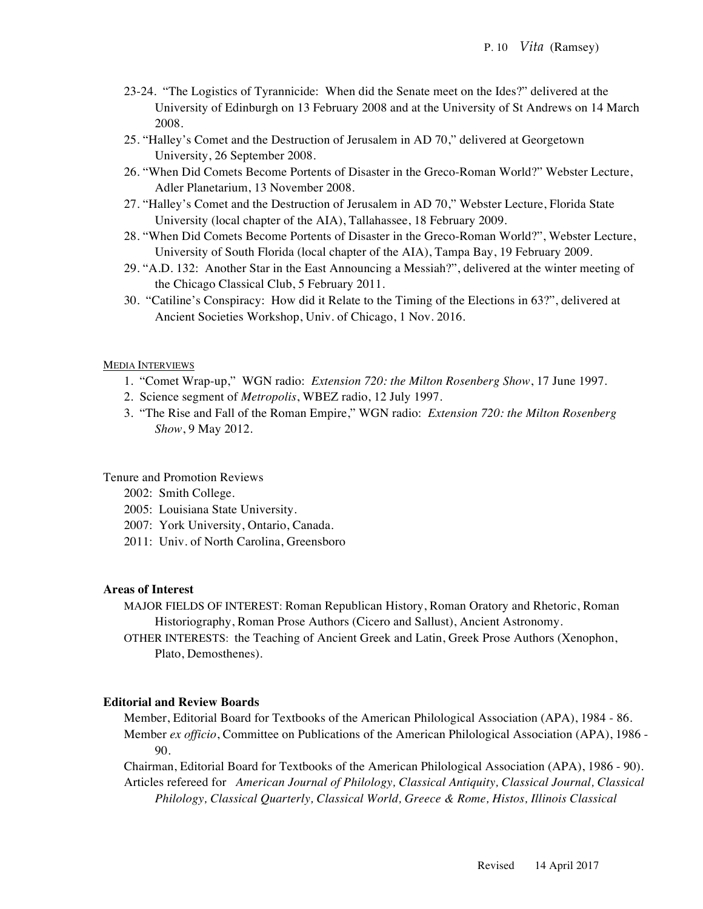- 23-24. "The Logistics of Tyrannicide: When did the Senate meet on the Ides?" delivered at the University of Edinburgh on 13 February 2008 and at the University of St Andrews on 14 March 2008.
- 25. "Halley's Comet and the Destruction of Jerusalem in AD 70," delivered at Georgetown University, 26 September 2008.
- 26. "When Did Comets Become Portents of Disaster in the Greco-Roman World?" Webster Lecture, Adler Planetarium, 13 November 2008.
- 27. "Halley's Comet and the Destruction of Jerusalem in AD 70," Webster Lecture, Florida State University (local chapter of the AIA), Tallahassee, 18 February 2009.
- 28. "When Did Comets Become Portents of Disaster in the Greco-Roman World?", Webster Lecture, University of South Florida (local chapter of the AIA), Tampa Bay, 19 February 2009.
- 29. "A.D. 132: Another Star in the East Announcing a Messiah?", delivered at the winter meeting of the Chicago Classical Club, 5 February 2011.
- 30. "Catiline's Conspiracy: How did it Relate to the Timing of the Elections in 63?", delivered at Ancient Societies Workshop, Univ. of Chicago, 1 Nov. 2016.

#### MEDIA INTERVIEWS

- 1. "Comet Wrap-up," WGN radio: *Extension 720: the Milton Rosenberg Show*, 17 June 1997.
- 2. Science segment of *Metropolis*, WBEZ radio, 12 July 1997.
- 3. "The Rise and Fall of the Roman Empire," WGN radio: *Extension 720: the Milton Rosenberg Show*, 9 May 2012.

Tenure and Promotion Reviews

- 2002: Smith College.
- 2005: Louisiana State University.
- 2007: York University, Ontario, Canada.
- 2011: Univ. of North Carolina, Greensboro

#### **Areas of Interest**

- MAJOR FIELDS OF INTEREST: Roman Republican History, Roman Oratory and Rhetoric, Roman Historiography, Roman Prose Authors (Cicero and Sallust), Ancient Astronomy.
- OTHER INTERESTS: the Teaching of Ancient Greek and Latin, Greek Prose Authors (Xenophon, Plato, Demosthenes).

#### **Editorial and Review Boards**

Member, Editorial Board for Textbooks of the American Philological Association (APA), 1984 - 86. Member *ex officio*, Committee on Publications of the American Philological Association (APA), 1986 - 90.

Chairman, Editorial Board for Textbooks of the American Philological Association (APA), 1986 - 90). Articles refereed for *American Journal of Philology, Classical Antiquity, Classical Journal, Classical Philology, Classical Quarterly, Classical World, Greece & Rome, Histos, Illinois Classical*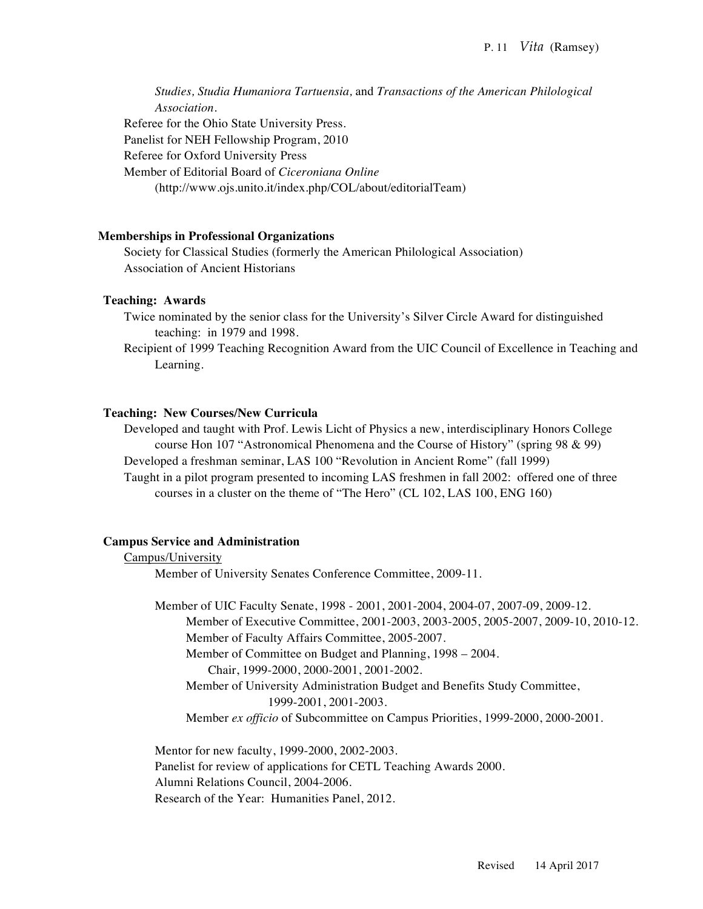*Studies, Studia Humaniora Tartuensia,* and *Transactions of the American Philological Association.* Referee for the Ohio State University Press. Panelist for NEH Fellowship Program, 2010 Referee for Oxford University Press Member of Editorial Board of *Ciceroniana Online* (http://www.ojs.unito.it/index.php/COL/about/editorialTeam)

#### **Memberships in Professional Organizations**

Society for Classical Studies (formerly the American Philological Association) Association of Ancient Historians

#### **Teaching: Awards**

- Twice nominated by the senior class for the University's Silver Circle Award for distinguished teaching: in 1979 and 1998.
- Recipient of 1999 Teaching Recognition Award from the UIC Council of Excellence in Teaching and Learning.

#### **Teaching: New Courses/New Curricula**

Developed and taught with Prof. Lewis Licht of Physics a new, interdisciplinary Honors College course Hon 107 "Astronomical Phenomena and the Course of History" (spring 98 & 99) Developed a freshman seminar, LAS 100 "Revolution in Ancient Rome" (fall 1999) Taught in a pilot program presented to incoming LAS freshmen in fall 2002: offered one of three courses in a cluster on the theme of "The Hero" (CL 102, LAS 100, ENG 160)

#### **Campus Service and Administration**

#### Campus/University

Member of University Senates Conference Committee, 2009-11.

Member of UIC Faculty Senate, 1998 - 2001, 2001-2004, 2004-07, 2007-09, 2009-12. Member of Executive Committee, 2001-2003, 2003-2005, 2005-2007, 2009-10, 2010-12. Member of Faculty Affairs Committee, 2005-2007. Member of Committee on Budget and Planning, 1998 – 2004.

Chair, 1999-2000, 2000-2001, 2001-2002.

Member of University Administration Budget and Benefits Study Committee, 1999-2001, 2001-2003.

Member *ex officio* of Subcommittee on Campus Priorities, 1999-2000, 2000-2001.

Mentor for new faculty, 1999-2000, 2002-2003. Panelist for review of applications for CETL Teaching Awards 2000. Alumni Relations Council, 2004-2006. Research of the Year: Humanities Panel, 2012.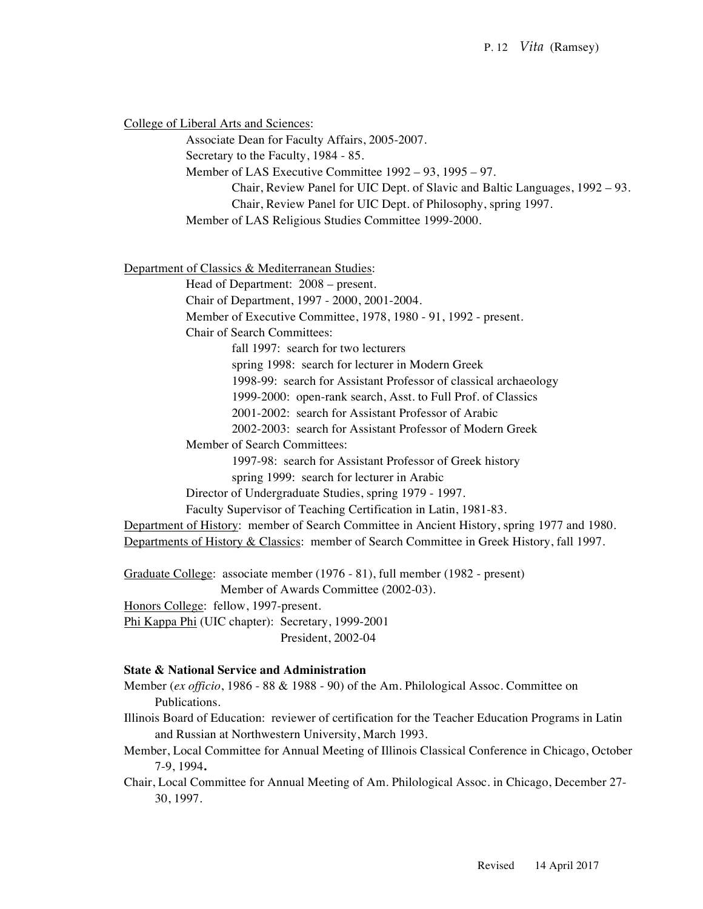College of Liberal Arts and Sciences:

Associate Dean for Faculty Affairs, 2005-2007.

Secretary to the Faculty, 1984 - 85.

Member of LAS Executive Committee 1992 – 93, 1995 – 97.

Chair, Review Panel for UIC Dept. of Slavic and Baltic Languages, 1992 – 93.

Chair, Review Panel for UIC Dept. of Philosophy, spring 1997.

Member of LAS Religious Studies Committee 1999-2000.

Department of Classics & Mediterranean Studies:

Head of Department: 2008 – present.

Chair of Department, 1997 - 2000, 2001-2004.

Member of Executive Committee, 1978, 1980 - 91, 1992 - present.

Chair of Search Committees:

fall 1997: search for two lecturers

spring 1998: search for lecturer in Modern Greek

1998-99: search for Assistant Professor of classical archaeology

1999-2000: open-rank search, Asst. to Full Prof. of Classics

2001-2002: search for Assistant Professor of Arabic

2002-2003: search for Assistant Professor of Modern Greek

Member of Search Committees:

1997-98: search for Assistant Professor of Greek history

spring 1999: search for lecturer in Arabic

Director of Undergraduate Studies, spring 1979 - 1997.

Faculty Supervisor of Teaching Certification in Latin, 1981-83.

Department of History: member of Search Committee in Ancient History, spring 1977 and 1980. Departments of History & Classics: member of Search Committee in Greek History, fall 1997.

Graduate College: associate member (1976 - 81), full member (1982 - present)

Member of Awards Committee (2002-03).

Honors College: fellow, 1997-present.

Phi Kappa Phi (UIC chapter): Secretary, 1999-2001 President, 2002-04

# **State & National Service and Administration**

Member (*ex officio*, 1986 - 88 & 1988 - 90) of the Am. Philological Assoc. Committee on Publications.

- Illinois Board of Education: reviewer of certification for the Teacher Education Programs in Latin and Russian at Northwestern University, March 1993.
- Member, Local Committee for Annual Meeting of Illinois Classical Conference in Chicago, October 7-9, 1994**.**
- Chair, Local Committee for Annual Meeting of Am. Philological Assoc. in Chicago, December 27- 30, 1997.